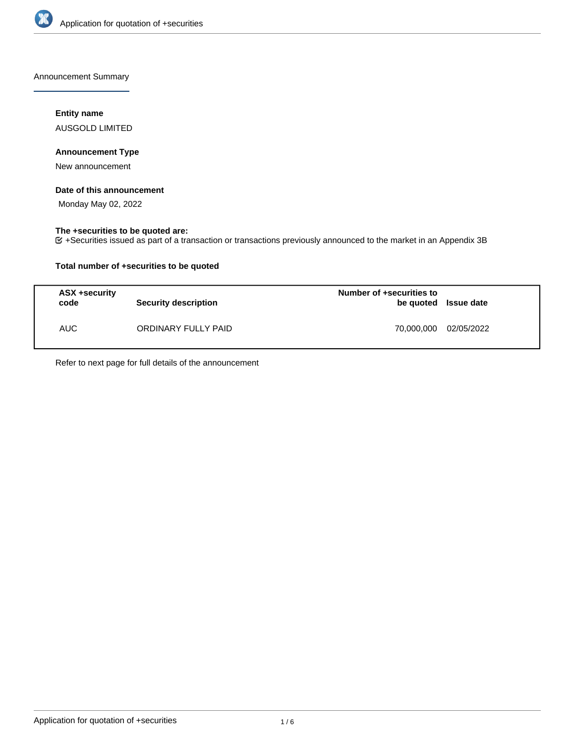

Announcement Summary

# **Entity name**

AUSGOLD LIMITED

# **Announcement Type**

New announcement

## **Date of this announcement**

Monday May 02, 2022

# **The +securities to be quoted are:**

+Securities issued as part of a transaction or transactions previously announced to the market in an Appendix 3B

# **Total number of +securities to be quoted**

| ASX +security<br>code | Security description | Number of +securities to<br>be quoted Issue date |            |
|-----------------------|----------------------|--------------------------------------------------|------------|
| <b>AUC</b>            | ORDINARY FULLY PAID  | 70.000.000                                       | 02/05/2022 |

Refer to next page for full details of the announcement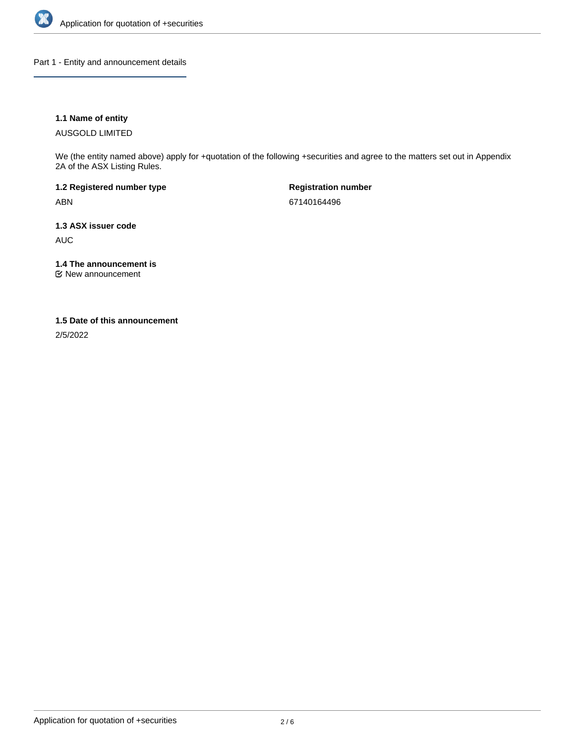

Part 1 - Entity and announcement details

# **1.1 Name of entity**

AUSGOLD LIMITED

We (the entity named above) apply for +quotation of the following +securities and agree to the matters set out in Appendix 2A of the ASX Listing Rules.

**1.2 Registered number type** ABN

**Registration number** 67140164496

**1.3 ASX issuer code** AUC

**1.4 The announcement is**

New announcement

### **1.5 Date of this announcement**

2/5/2022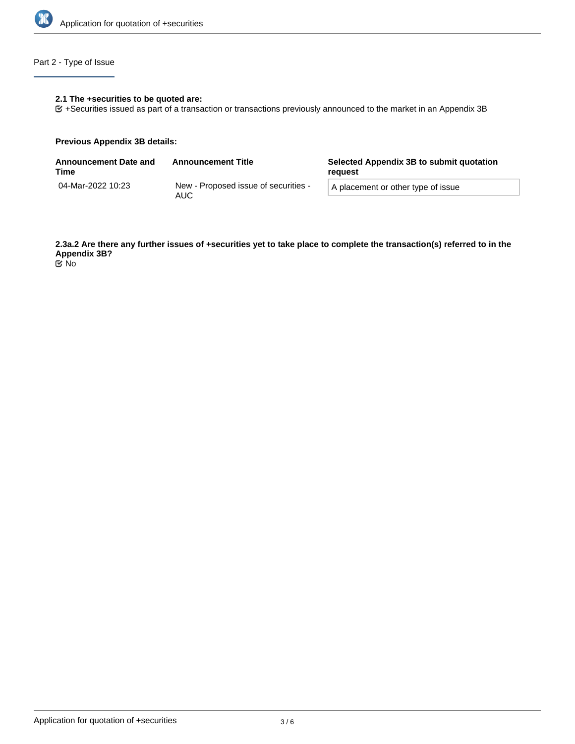

# Part 2 - Type of Issue

# **2.1 The +securities to be quoted are:**

+Securities issued as part of a transaction or transactions previously announced to the market in an Appendix 3B

### **Previous Appendix 3B details:**

| <b>Announcement Date and</b><br>Time | <b>Announcement Title</b>                   | Selected Appendix 3B to submit quotation<br>reguest |  |
|--------------------------------------|---------------------------------------------|-----------------------------------------------------|--|
| 04-Mar-2022 10:23                    | New - Proposed issue of securities -<br>AUC | A placement or other type of issue                  |  |

**2.3a.2 Are there any further issues of +securities yet to take place to complete the transaction(s) referred to in the Appendix 3B?**

No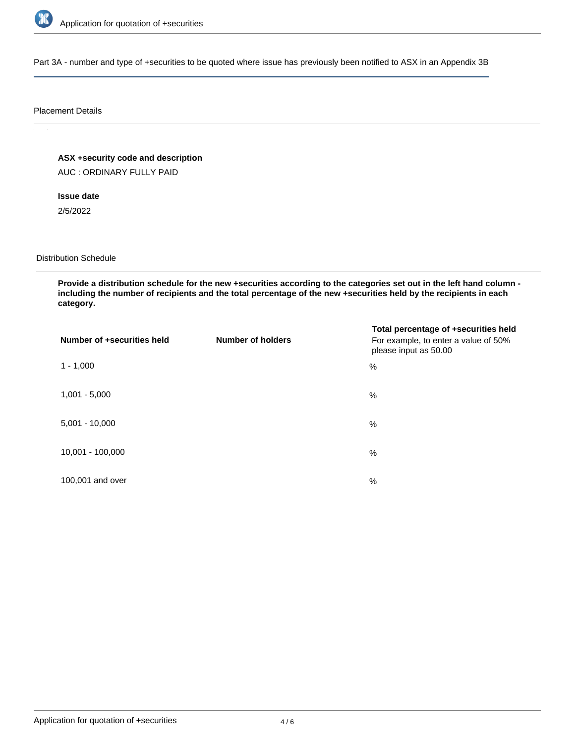

Part 3A - number and type of +securities to be quoted where issue has previously been notified to ASX in an Appendix 3B

### Placement Details

**ASX +security code and description**

AUC : ORDINARY FULLY PAID

**Issue date**

2/5/2022

Distribution Schedule

**Provide a distribution schedule for the new +securities according to the categories set out in the left hand column including the number of recipients and the total percentage of the new +securities held by the recipients in each category.**

| Number of +securities held | <b>Number of holders</b> | Total percentage of +securities held<br>For example, to enter a value of 50%<br>please input as 50.00 |
|----------------------------|--------------------------|-------------------------------------------------------------------------------------------------------|
| $1 - 1,000$                |                          | %                                                                                                     |
| $1,001 - 5,000$            |                          | $\%$                                                                                                  |
| $5,001 - 10,000$           |                          | %                                                                                                     |
| 10,001 - 100,000           |                          | %                                                                                                     |
| 100,001 and over           |                          | %                                                                                                     |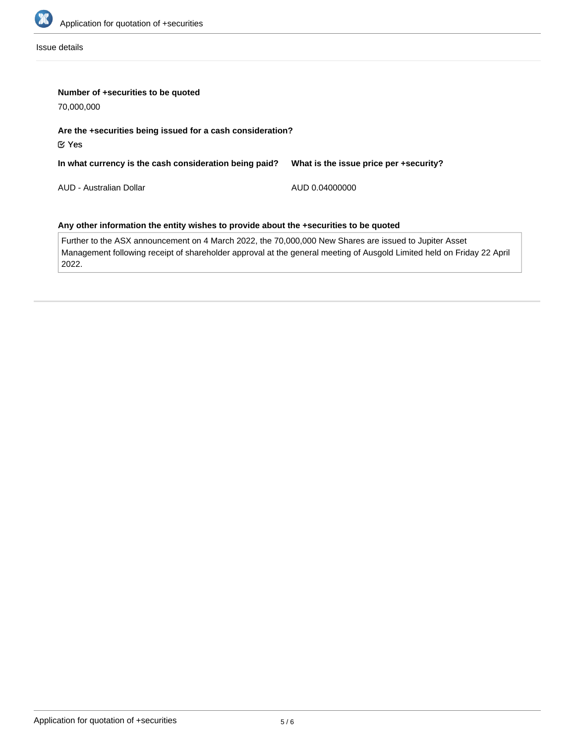

Issue details

| Number of +securities to be quoted<br>70,000,000                                                       |                                        |  |  |  |  |
|--------------------------------------------------------------------------------------------------------|----------------------------------------|--|--|--|--|
| Are the +securities being issued for a cash consideration?<br>$\mathfrak C$ Yes                        |                                        |  |  |  |  |
| In what currency is the cash consideration being paid?                                                 | What is the issue price per +security? |  |  |  |  |
| AUD - Australian Dollar                                                                                | AUD 0.04000000                         |  |  |  |  |
| Any other information the entity wishes to provide about the +securities to be quoted                  |                                        |  |  |  |  |
| Further to the ASX announcement on 4 March 2022, the 70,000,000 New Shares are issued to Jupiter Asset |                                        |  |  |  |  |

Management following receipt of shareholder approval at the general meeting of Ausgold Limited held on Friday 22 April 2022.